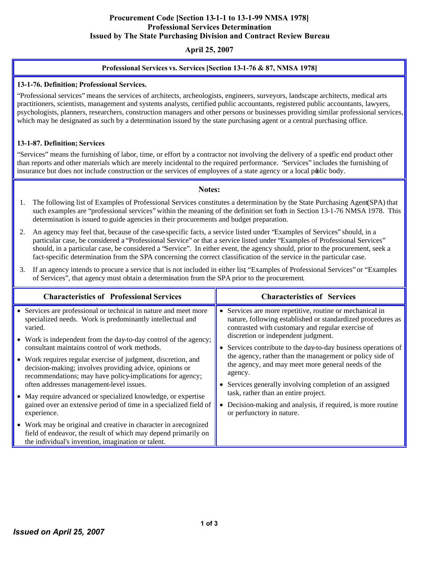### Procurement Code [Section 13-1-1 to 13-1-99 NMSA 1978] Professional Services Determination Issued by The State Purchasing Division and Contract Review Bureau

## April 25, 2007

#### Professional Services vs. Services [Section 13-1-76 & 87, NMSA 1978]

#### 13-1-76. Definition; Professional Services.

"Professional services" means the services of architects, archeologists, engineers, surveyors, landscape architects, medical arts practitioners, scientists, management and systems analysts, certified public accountants, registered public accountants, lawyers, psychologists, planners, researchers, construction managers and other persons or businesses providing similar professional services, which may be designated as such by a determination issued by the state purchasing agent or a central purchasing office.

#### 13-1-87. Definition; Services

"Services" means the furnishing of labor, time, or effort by a contractor not involving the delivery of a specific end product other than reports and other materials which are merely incidental to the required performance. "Services" includes the furnishing of insurance but does not include construction or the services of employees of a state agency or a local public body.

#### Notes:

- 1. The following list of Examples of Professional Services constitutes a determination by the State Purchasing Agent (SPA) that such examples are "professional services" within the meaning of the definition set forth in Section 13-1-76 NMSA 1978. This determination is issued to guide agencies in their procurements and budget preparation.
- 2. An agency may feel that, because of the case-specific facts, a service listed under "Examples of Services" should, in a particular case, be considered a "Professional Service" or that a service listed under "Examples of Professional Services" should, in a particular case, be considered a "Service". In either event, the agency should, prior to the procurement, seek a fact-specific determination from the SPA concerning the correct classification of the service in the particular case.
- 3. If an agency intends to procure a service that is not included in either list, "Examples of Professional Services" or "Examples of Services", that agency must obtain a determination from the SPA prior to the procurement.

| <b>Characteristics of Professional Services</b>                                                                                                                                                                                                                                    | <b>Characteristics of Services</b>                                                                                                                                                                                                                                                                                                                                                                                                                                                                                                                                                                                   |
|------------------------------------------------------------------------------------------------------------------------------------------------------------------------------------------------------------------------------------------------------------------------------------|----------------------------------------------------------------------------------------------------------------------------------------------------------------------------------------------------------------------------------------------------------------------------------------------------------------------------------------------------------------------------------------------------------------------------------------------------------------------------------------------------------------------------------------------------------------------------------------------------------------------|
| • Services are professional or technical in nature and meet more<br>specialized needs. Work is predominantly intellectual and<br>varied.<br>• Work is independent from the day-to-day control of the agency;                                                                       | • Services are more repetitive, routine or mechanical in<br>nature, following established or standardized procedures as<br>contrasted with customary and regular exercise of<br>discretion or independent judgment.<br>• Services contribute to the day-to-day business operations of<br>the agency, rather than the management or policy side of<br>the agency, and may meet more general needs of the<br>agency.<br>Services generally involving completion of an assigned<br>٠<br>task, rather than an entire project.<br>Decision-making and analysis, if required, is more routine<br>or perfunctory in nature. |
| consultant maintains control of work methods.<br>• Work requires regular exercise of judgment, discretion, and<br>decision-making; involves providing advice, opinions or<br>recommendations; may have policy-implications for agency;<br>often addresses management-level issues. |                                                                                                                                                                                                                                                                                                                                                                                                                                                                                                                                                                                                                      |
| • May require advanced or specialized knowledge, or expertise<br>gained over an extensive period of time in a specialized field of<br>experience.                                                                                                                                  |                                                                                                                                                                                                                                                                                                                                                                                                                                                                                                                                                                                                                      |
| • Work may be original and creative in character in are cognized<br>field of endeavor, the result of which may depend primarily on<br>the individual's invention, imagination or talent.                                                                                           |                                                                                                                                                                                                                                                                                                                                                                                                                                                                                                                                                                                                                      |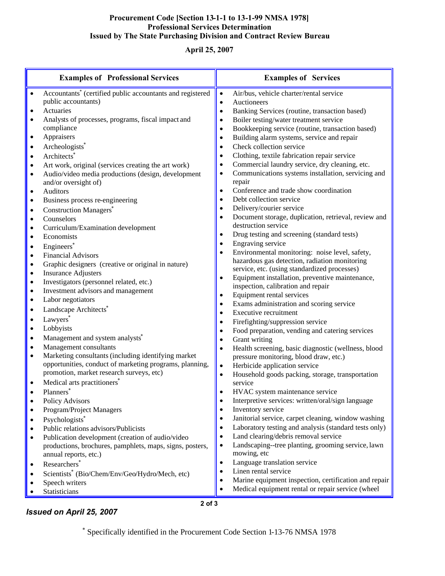# Procurement Code [Section 13-1-1 to 13-1-99 NMSA 1978] Professional Services Determination Issued by The State Purchasing Division and Contract Review Bureau

# April 25, 2007

| <b>Examples of Professional Services</b> |                                                                               | <b>Examples of Services</b> |                                                                                  |
|------------------------------------------|-------------------------------------------------------------------------------|-----------------------------|----------------------------------------------------------------------------------|
|                                          | Accountants <sup>*</sup> (certified public accountants and registered         | $\bullet$                   | Air/bus, vehicle charter/rental service                                          |
|                                          | public accountants)                                                           | $\bullet$                   | Auctioneers                                                                      |
| $\bullet$                                | Actuaries                                                                     | $\bullet$                   | Banking Services (routine, transaction based)                                    |
| $\bullet$                                | Analysts of processes, programs, fiscal impact and                            |                             | Boiler testing/water treatment service                                           |
|                                          | compliance                                                                    |                             | Bookkeeping service (routine, transaction based)                                 |
| $\bullet$                                | Appraisers                                                                    |                             | Building alarm systems, service and repair                                       |
| $\bullet$                                | Archeologists <sup>®</sup>                                                    |                             | Check collection service                                                         |
| $\bullet$                                | Architects <sup>*</sup>                                                       | $\bullet$                   | Clothing, textile fabrication repair service                                     |
| $\bullet$                                | Art work, original (services creating the art work)                           | $\bullet$                   | Commercial laundry service, dry cleaning, etc.                                   |
| $\bullet$                                | Audio/video media productions (design, development                            | $\bullet$                   | Communications systems installation, servicing and                               |
|                                          | and/or oversight of)                                                          |                             | repair                                                                           |
| $\bullet$                                | Auditors                                                                      |                             | Conference and trade show coordination                                           |
| $\bullet$                                | Business process re-engineering                                               | $\bullet$                   | Debt collection service                                                          |
| $\bullet$                                | <b>Construction Managers</b>                                                  | $\bullet$                   | Delivery/courier service<br>Document storage, duplication, retrieval, review and |
| $\bullet$                                | Counselors                                                                    |                             | destruction service                                                              |
| $\bullet$                                | Curriculum/Examination development                                            |                             | Drug testing and screening (standard tests)                                      |
| $\bullet$                                | Economists                                                                    |                             | Engraving service                                                                |
| $\bullet$                                | Engineers*                                                                    |                             | Environmental monitoring: noise level, safety,                                   |
| $\bullet$                                | <b>Financial Advisors</b>                                                     |                             | hazardous gas detection, radiation monitoring                                    |
| $\bullet$                                | Graphic designers (creative or original in nature)                            |                             | service, etc. (using standardized processes)                                     |
| $\bullet$                                | <b>Insurance Adjusters</b>                                                    |                             | Equipment installation, preventive maintenance,                                  |
| $\bullet$<br>$\bullet$                   | Investigators (personnel related, etc.)<br>Investment advisors and management |                             | inspection, calibration and repair                                               |
| $\bullet$                                | Labor negotiators                                                             |                             | Equipment rental services                                                        |
| $\bullet$                                | Landscape Architects <sup>*</sup>                                             |                             | Exams administration and scoring service                                         |
|                                          | Lawyers*                                                                      |                             | <b>Executive recruitment</b>                                                     |
| $\bullet$<br>$\bullet$                   | Lobbyists                                                                     |                             | Firefighting/suppression service                                                 |
|                                          |                                                                               |                             | Food preparation, vending and catering services                                  |
| $\bullet$                                | Management and system analysts <sup>*</sup><br>Management consultants         | $\bullet$                   | Grant writing                                                                    |
| $\bullet$<br>$\bullet$                   | Marketing consultants (including identifying market                           |                             | Health screening, basic diagnostic (wellness, blood                              |
|                                          | opportunities, conduct of marketing programs, planning,                       | $\bullet$                   | pressure monitoring, blood draw, etc.)<br>Herbicide application service          |
|                                          | promotion, market research surveys, etc)                                      | $\bullet$                   | Household goods packing, storage, transportation                                 |
|                                          | Medical arts practitioners <sup>*</sup>                                       |                             | service                                                                          |
|                                          | Planners*                                                                     |                             | HVAC system maintenance service                                                  |
|                                          | <b>Policy Advisors</b>                                                        |                             | Interpretive services: written/oral/sign language                                |
| ٠                                        | Program/Project Managers                                                      | ٠                           | Inventory service                                                                |
| $\bullet$                                | Psychologists*                                                                | ٠                           | Janitorial service, carpet cleaning, window washing                              |
|                                          | Public relations advisors/Publicists                                          | ٠                           | Laboratory testing and analysis (standard tests only)                            |
|                                          | Publication development (creation of audio/video                              | ٠                           | Land clearing/debris removal service                                             |
|                                          | productions, brochures, pamphlets, maps, signs, posters,                      | $\bullet$                   | Landscaping--tree planting, grooming service, lawn                               |
|                                          | annual reports, etc.)                                                         |                             | mowing, etc                                                                      |
| $\bullet$                                | Researchers*                                                                  | ٠                           | Language translation service                                                     |
|                                          | Scientists* (Bio/Chem/Env/Geo/Hydro/Mech, etc)                                |                             | Linen rental service                                                             |
|                                          | Speech writers                                                                |                             | Marine equipment inspection, certification and repair                            |
|                                          | Statisticians                                                                 |                             | Medical equipment rental or repair service (wheel                                |

# Issued on April 25, 2007

2 of 3

\* Specifically identified in the Procurement Code Section 1-13-76 NMSA 1978